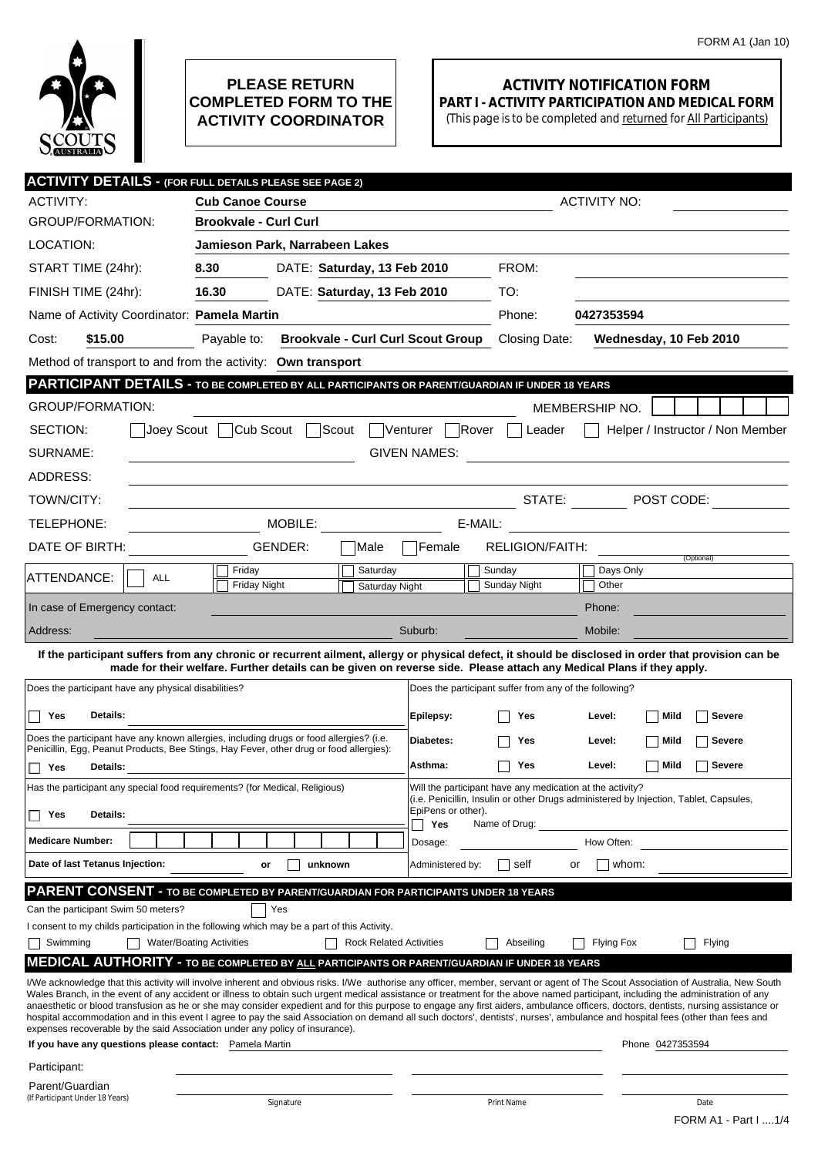

## **PLEASE RETURN COMPLETED FORM TO THE ACTIVITY COORDINATOR**

## **ACTIVITY NOTIFICATION FORM PART I - ACTIVITY PARTICIPATION AND MEDICAL FORM**

(This page is to be completed and returned for All Participants)

| <b>ACTIVITY DETAILS - (FOR FULL DETAILS PLEASE SEE PAGE 2)</b>                                                                                                                                                                                                                                                                                                         |                                             |                                |                  |                                                        |                |                          |  |
|------------------------------------------------------------------------------------------------------------------------------------------------------------------------------------------------------------------------------------------------------------------------------------------------------------------------------------------------------------------------|---------------------------------------------|--------------------------------|------------------|--------------------------------------------------------|----------------|--------------------------|--|
| <b>ACTIVITY:</b>                                                                                                                                                                                                                                                                                                                                                       | <b>Cub Canoe Course</b>                     |                                |                  | <b>ACTIVITY NO:</b>                                    |                |                          |  |
| <b>GROUP/FORMATION:</b>                                                                                                                                                                                                                                                                                                                                                | <b>Brookvale - Curl Curl</b>                |                                |                  |                                                        |                |                          |  |
| LOCATION:                                                                                                                                                                                                                                                                                                                                                              | Jamieson Park, Narrabeen Lakes              |                                |                  |                                                        |                |                          |  |
| START TIME (24hr):                                                                                                                                                                                                                                                                                                                                                     | 8.30<br>DATE: Saturday, 13 Feb 2010         |                                |                  | FROM:                                                  |                |                          |  |
| FINISH TIME (24hr):                                                                                                                                                                                                                                                                                                                                                    | 16.30<br>DATE: Saturday, 13 Feb 2010        |                                |                  | TO:                                                    |                |                          |  |
|                                                                                                                                                                                                                                                                                                                                                                        | Name of Activity Coordinator: Pamela Martin |                                |                  | Phone:                                                 | 0427353594     |                          |  |
| \$15.00<br>Cost:                                                                                                                                                                                                                                                                                                                                                       | Payable to:                                 |                                |                  | <b>Brookvale - Curl Curl Scout Group</b> Closing Date: |                | Wednesday, 10 Feb 2010   |  |
| Method of transport to and from the activity: Own transport                                                                                                                                                                                                                                                                                                            |                                             |                                |                  |                                                        |                |                          |  |
| PARTICIPANT DETAILS - TO BE COMPLETED BY ALL PARTICIPANTS OR PARENT/GUARDIAN IF UNDER 18 YEARS                                                                                                                                                                                                                                                                         |                                             |                                |                  |                                                        |                |                          |  |
| <b>GROUP/FORMATION:</b>                                                                                                                                                                                                                                                                                                                                                |                                             |                                |                  |                                                        | MEMBERSHIP NO. |                          |  |
| Joey Scout Cub Scout Scout<br>Rover<br>Venturer  <br>SECTION:<br>Helper / Instructor / Non Member<br>Leader                                                                                                                                                                                                                                                            |                                             |                                |                  |                                                        |                |                          |  |
| SURNAME:<br><b>GIVEN NAMES:</b>                                                                                                                                                                                                                                                                                                                                        |                                             |                                |                  |                                                        |                |                          |  |
| ADDRESS:                                                                                                                                                                                                                                                                                                                                                               |                                             |                                |                  |                                                        |                |                          |  |
| TOWN/CITY:                                                                                                                                                                                                                                                                                                                                                             |                                             |                                |                  |                                                        |                | STATE: $\Box$ POST CODE: |  |
| TELEPHONE:                                                                                                                                                                                                                                                                                                                                                             | MOBILE:<br>E-MAIL:                          |                                |                  |                                                        |                |                          |  |
| DATE OF BIRTH:                                                                                                                                                                                                                                                                                                                                                         | GENDER:                                     | Male                           | lFemale          | <b>RELIGION/FAITH:</b>                                 |                |                          |  |
|                                                                                                                                                                                                                                                                                                                                                                        | Friday                                      | Saturday                       |                  | Sunday                                                 | Days Only      | (Optional)               |  |
| ATTENDANCE:<br><b>ALL</b>                                                                                                                                                                                                                                                                                                                                              | <b>Friday Night</b>                         | Saturday Night                 |                  | Sunday Night                                           | Other          |                          |  |
| In case of Emergency contact:                                                                                                                                                                                                                                                                                                                                          |                                             |                                |                  |                                                        | Phone:         |                          |  |
| Address:                                                                                                                                                                                                                                                                                                                                                               |                                             |                                | Suburb:          |                                                        | Mobile:        |                          |  |
| If the participant suffers from any chronic or recurrent ailment, allergy or physical defect, it should be disclosed in order that provision can be<br>made for their welfare. Further details can be given on reverse side. Please attach any Medical Plans if they apply.                                                                                            |                                             |                                |                  |                                                        |                |                          |  |
| Does the participant have any physical disabilities?<br>Does the participant suffer from any of the following?                                                                                                                                                                                                                                                         |                                             |                                |                  |                                                        |                |                          |  |
| Details:                                                                                                                                                                                                                                                                                                                                                               |                                             |                                | Epilepsy:        | Yes                                                    | Level:         | Mild<br>Severe           |  |
| Yes<br>Does the participant have any known allergies, including drugs or food allergies? (i.e.                                                                                                                                                                                                                                                                         |                                             |                                | Diabetes:        |                                                        |                |                          |  |
| Penicillin, Egg, Peanut Products, Bee Stings, Hay Fever, other drug or food allergies):                                                                                                                                                                                                                                                                                |                                             |                                |                  | Yes                                                    | Level:         | Mild<br>Severe           |  |
| Yes<br><b>Details:</b>                                                                                                                                                                                                                                                                                                                                                 |                                             |                                |                  | Yes                                                    | Level:         | <b>Severe</b><br>  Mild  |  |
| Has the participant any special food requirements? (for Medical, Religious)<br>Will the participant have any medication at the activity?<br>(i.e. Penicillin, Insulin or other Drugs administered by Injection, Tablet, Capsules,                                                                                                                                      |                                             |                                |                  |                                                        |                |                          |  |
| $\Box$ Yes<br>Details:                                                                                                                                                                                                                                                                                                                                                 |                                             |                                |                  | EpiPens or other).<br>Yes<br>Name of Drug:             |                |                          |  |
| <b>Medicare Number:</b>                                                                                                                                                                                                                                                                                                                                                |                                             |                                | Dosage:          |                                                        | How Often:     |                          |  |
| Date of last Tetanus Injection:                                                                                                                                                                                                                                                                                                                                        | unknown<br>or                               |                                | Administered by: | self                                                   | whom:<br>or    |                          |  |
| PARENT CONSENT - TO BE COMPLETED BY PARENT/GUARDIAN FOR PARTICIPANTS UNDER 18 YEARS                                                                                                                                                                                                                                                                                    |                                             |                                |                  |                                                        |                |                          |  |
| Can the participant Swim 50 meters?                                                                                                                                                                                                                                                                                                                                    | Yes                                         |                                |                  |                                                        |                |                          |  |
| I consent to my childs participation in the following which may be a part of this Activity.<br>Swimming                                                                                                                                                                                                                                                                | <b>Water/Boating Activities</b>             | <b>Rock Related Activities</b> |                  | Abseiling                                              | Flying Fox     | Flying                   |  |
| <b>MEDICAL AUTHORITY - TO BE COMPLETED BY ALL PARTICIPANTS OR PARENT/GUARDIAN IF UNDER 18 YEARS</b>                                                                                                                                                                                                                                                                    |                                             |                                |                  |                                                        |                |                          |  |
| I/We acknowledge that this activity will involve inherent and obvious risks. I/We authorise any officer, member, servant or agent of The Scout Association of Australia, New South                                                                                                                                                                                     |                                             |                                |                  |                                                        |                |                          |  |
| Wales Branch, in the event of any accident or illness to obtain such urgent medical assistance or treatment for the above named participant, including the administration of any<br>anaesthetic or blood transfusion as he or she may consider expedient and for this purpose to engage any first aiders, ambulance officers, doctors, dentists, nursing assistance or |                                             |                                |                  |                                                        |                |                          |  |
| hospital accommodation and in this event I agree to pay the said Association on demand all such doctors', dentists', nurses', ambulance and hospital fees (other than fees and<br>expenses recoverable by the said Association under any policy of insurance).                                                                                                         |                                             |                                |                  |                                                        |                |                          |  |
| If you have any questions please contact: Pamela Martin                                                                                                                                                                                                                                                                                                                |                                             |                                |                  |                                                        |                | Phone 0427353594         |  |
| Participant:                                                                                                                                                                                                                                                                                                                                                           |                                             |                                |                  |                                                        |                |                          |  |
| Parent/Guardian<br>(If Participant Under 18 Years)                                                                                                                                                                                                                                                                                                                     | Signature                                   |                                | Print Name       |                                                        |                | Date                     |  |
|                                                                                                                                                                                                                                                                                                                                                                        |                                             |                                |                  |                                                        |                | FORM A1 - Part I  1/4    |  |